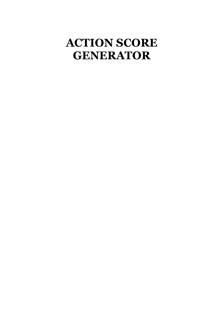#### **ACTION SCORE GENERATOR**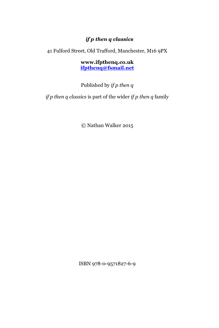#### *if p then q classics*

41 Fulford Street, Old Trafford, Manchester, M16 9PX

**www.ifpthenq.co.uk [ifpthenq@fsmail.net](mailto:ifpthenq@yahoo.co.uk)**

Published by *if p then q*

*if p then q classics* is part of the wider *if p then q* family

© Nathan Walker 2015

ISBN 978-0-9571827-6-9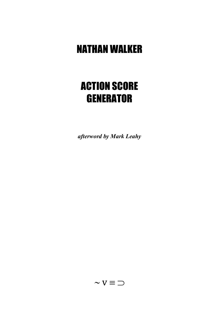#### NATHAN WALKER

#### ACTION SCORE **GENERATOR**

*afterword by Mark Leahy*

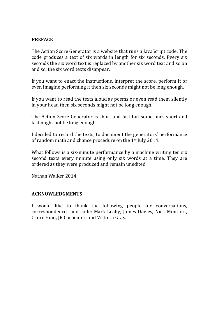#### **PREFACE**

The Action Score Generator is a website that runs a JavaScript code. The code produces a text of six words in length for six seconds. Every six seconds the six word text is replaced by another six word text and so on and so, the six word texts disappear.

If you want to enact the instructions, interpret the score, perform it or even imagine performing it then six seconds might not be long enough.

If you want to read the texts aloud as poems or even read them silently in your head then six seconds might not be long enough.

The Action Score Generator is short and fast but sometimes short and fast might not be long enough.

I decided to record the texts, to document the generators' performance of random math and chance procedure on the 1st July 2014.

What follows is a six-minute performance by a machine writing ten six second texts every minute using only six words at a time. They are ordered as they were produced and remain unedited.

Nathan Walker 2014

#### **ACKNOWLEDGMENTS**

I would like to thank the following people for conversations, correspondences and code: Mark Leahy, James Davies, Nick Montfort, Claire Hind, JR Carpenter, and Victoria Gray.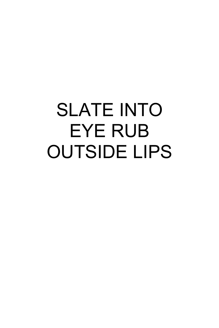## SLATE INTO EYE RUB OUTSIDE LIPS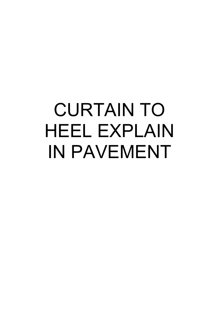## CURTAIN TO HEEL EXPLAIN IN PAVEMENT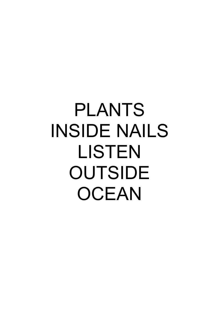#### PLANTS INSIDE NAILS LISTEN **OUTSIDE OCEAN**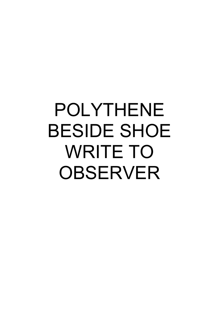## POLYTHENE BESIDE SHOE WRITE TO OBSERVER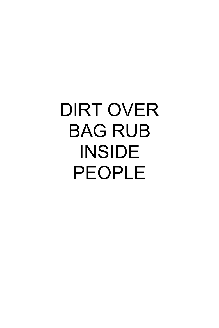### DIRT OVER BAG RUB INSIDE PEOPLE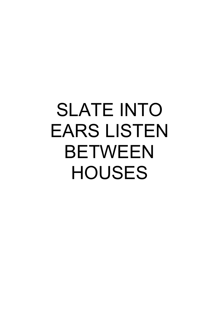### SLATE INTO EARS LISTEN BETWEEN **HOUSES**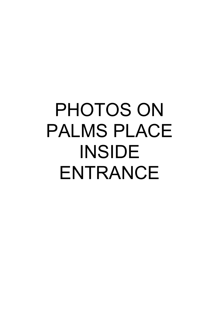## PHOTOS ON PALMS PLACE INSIDE ENTRANCE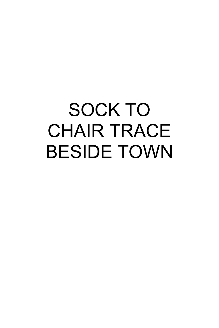# SOCK TO CHAIR TRACE BESIDE TOWN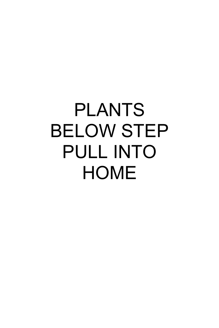### PLANTS BELOW STEP PULL INTO **HOME**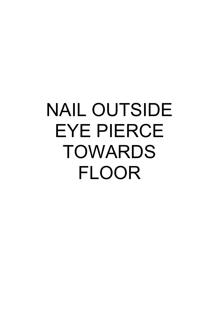## NAIL OUTSIDE EYE PIERCE TOWARDS FLOOR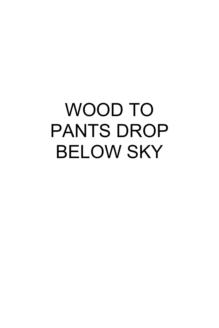## WOOD TO PANTS DROP BELOW SKY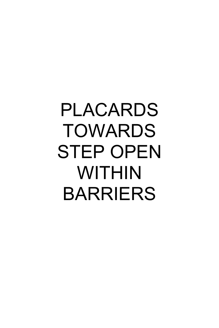### PLACARDS TOWARDS STEP OPEN WITHIN BARRIERS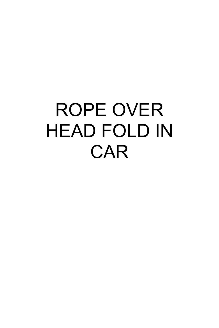#### ROPE OVER HEAD FOLD IN **CAR**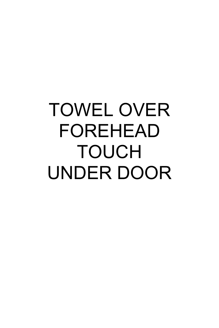## TOWEL OVER FOREHEAD TOUCH UNDER DOOR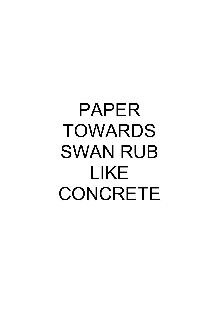## PAPER TOWARDS SWAN RUB LIKE **CONCRETE**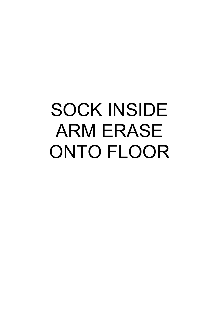## SOCK INSIDE ARM ERASE ONTO FLOOR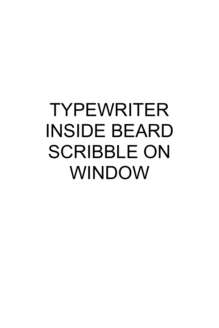## TYPEWRITER INSIDE BEARD SCRIBBLE ON WINDOW